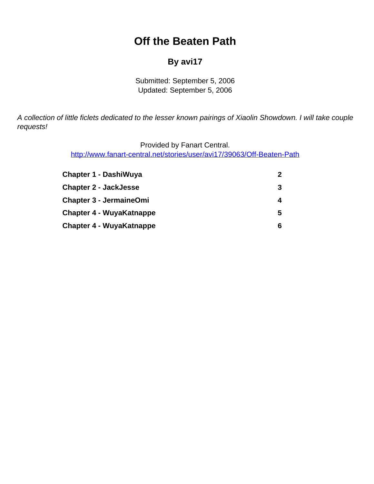# **Off the Beaten Path**

#### **By avi17**

Submitted: September 5, 2006 Updated: September 5, 2006

<span id="page-0-0"></span>A collection of little ficlets dedicated to the lesser known pairings of Xiaolin Showdown. I will take couple requests!

Provided by Fanart Central.

[http://www.fanart-central.net/stories/user/avi17/39063/Off-Beaten-Path](#page-0-0)

| <b>Chapter 1 - DashiWuya</b>    |   |
|---------------------------------|---|
| <b>Chapter 2 - JackJesse</b>    |   |
| <b>Chapter 3 - JermaineOmi</b>  |   |
| <b>Chapter 4 - WuyaKatnappe</b> | 5 |
| <b>Chapter 4 - WuyaKatnappe</b> | 6 |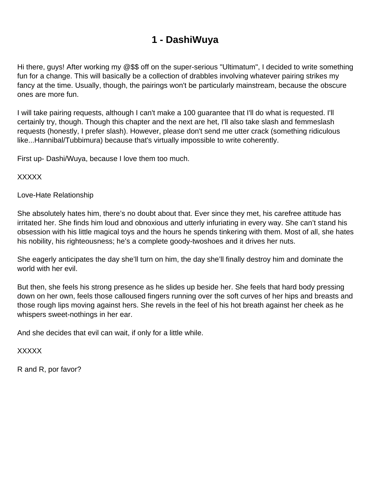### **1 - DashiWuya**

<span id="page-1-0"></span>Hi there, guys! After working my @\$\$ off on the super-serious "Ultimatum", I decided to write something fun for a change. This will basically be a collection of drabbles involving whatever pairing strikes my fancy at the time. Usually, though, the pairings won't be particularly mainstream, because the obscure ones are more fun.

I will take pairing requests, although I can't make a 100 guarantee that I'll do what is requested. I'll certainly try, though. Though this chapter and the next are het, I'll also take slash and femmeslash requests (honestly, I prefer slash). However, please don't send me utter crack (something ridiculous like...Hannibal/Tubbimura) because that's virtually impossible to write coherently.

First up- Dashi/Wuya, because I love them too much.

XXXXX

Love-Hate Relationship

She absolutely hates him, there's no doubt about that. Ever since they met, his carefree attitude has irritated her. She finds him loud and obnoxious and utterly infuriating in every way. She can't stand his obsession with his little magical toys and the hours he spends tinkering with them. Most of all, she hates his nobility, his righteousness; he's a complete goody-twoshoes and it drives her nuts.

She eagerly anticipates the day she'll turn on him, the day she'll finally destroy him and dominate the world with her evil.

But then, she feels his strong presence as he slides up beside her. She feels that hard body pressing down on her own, feels those calloused fingers running over the soft curves of her hips and breasts and those rough lips moving against hers. She revels in the feel of his hot breath against her cheek as he whispers sweet-nothings in her ear.

And she decides that evil can wait, if only for a little while.

XXXXX

R and R, por favor?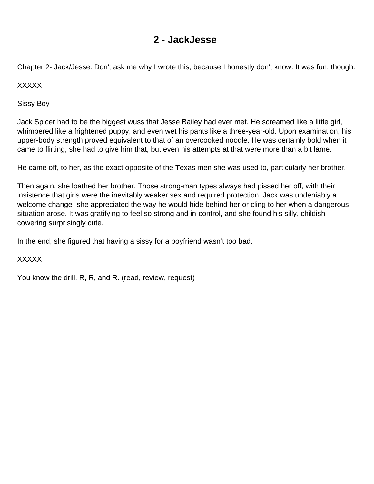#### **2 - JackJesse**

<span id="page-2-0"></span>Chapter 2- Jack/Jesse. Don't ask me why I wrote this, because I honestly don't know. It was fun, though.

XXXXX

Sissy Boy

Jack Spicer had to be the biggest wuss that Jesse Bailey had ever met. He screamed like a little girl, whimpered like a frightened puppy, and even wet his pants like a three-year-old. Upon examination, his upper-body strength proved equivalent to that of an overcooked noodle. He was certainly bold when it came to flirting, she had to give him that, but even his attempts at that were more than a bit lame.

He came off, to her, as the exact opposite of the Texas men she was used to, particularly her brother.

Then again, she loathed her brother. Those strong-man types always had pissed her off, with their insistence that girls were the inevitably weaker sex and required protection. Jack was undeniably a welcome change- she appreciated the way he would hide behind her or cling to her when a dangerous situation arose. It was gratifying to feel so strong and in-control, and she found his silly, childish cowering surprisingly cute.

In the end, she figured that having a sissy for a boyfriend wasn't too bad.

XXXXX

You know the drill. R, R, and R. (read, review, request)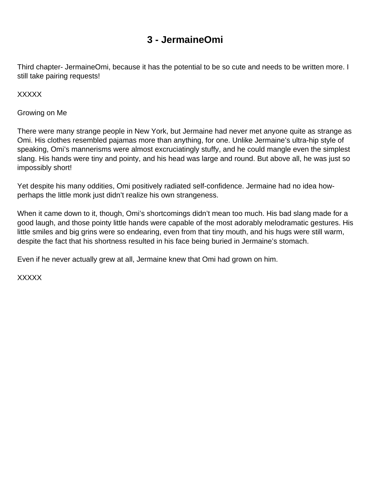### **3 - JermaineOmi**

<span id="page-3-0"></span>Third chapter- JermaineOmi, because it has the potential to be so cute and needs to be written more. I still take pairing requests!

XXXXX

Growing on Me

There were many strange people in New York, but Jermaine had never met anyone quite as strange as Omi. His clothes resembled pajamas more than anything, for one. Unlike Jermaine's ultra-hip style of speaking, Omi's mannerisms were almost excruciatingly stuffy, and he could mangle even the simplest slang. His hands were tiny and pointy, and his head was large and round. But above all, he was just so impossibly short!

Yet despite his many oddities, Omi positively radiated self-confidence. Jermaine had no idea howperhaps the little monk just didn't realize his own strangeness.

When it came down to it, though, Omi's shortcomings didn't mean too much. His bad slang made for a good laugh, and those pointy little hands were capable of the most adorably melodramatic gestures. His little smiles and big grins were so endearing, even from that tiny mouth, and his hugs were still warm, despite the fact that his shortness resulted in his face being buried in Jermaine's stomach.

Even if he never actually grew at all, Jermaine knew that Omi had grown on him.

XXXXX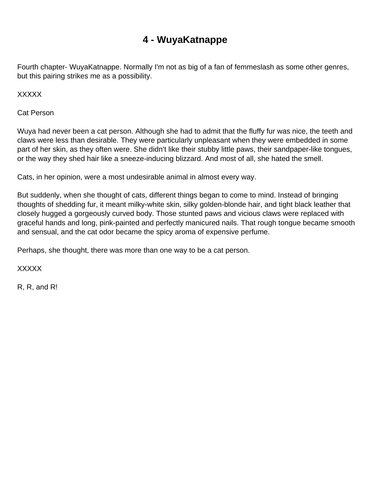## **4 - WuyaKatnappe**

<span id="page-4-0"></span>Fourth chapter- WuyaKatnappe. Normally I'm not as big of a fan of femmeslash as some other genres, but this pairing strikes me as a possibility.

XXXXX

Cat Person

Wuya had never been a cat person. Although she had to admit that the fluffy fur was nice, the teeth and claws were less than desirable. They were particularly unpleasant when they were embedded in some part of her skin, as they often were. She didn't like their stubby little paws, their sandpaper-like tongues, or the way they shed hair like a sneeze-inducing blizzard. And most of all, she hated the smell.

Cats, in her opinion, were a most undesirable animal in almost every way.

But suddenly, when she thought of cats, different things began to come to mind. Instead of bringing thoughts of shedding fur, it meant milky-white skin, silky golden-blonde hair, and tight black leather that closely hugged a gorgeously curved body. Those stunted paws and vicious claws were replaced with graceful hands and long, pink-painted and perfectly manicured nails. That rough tongue became smooth and sensual, and the cat odor became the spicy aroma of expensive perfume.

Perhaps, she thought, there was more than one way to be a cat person.

XXXXX

R, R, and R!